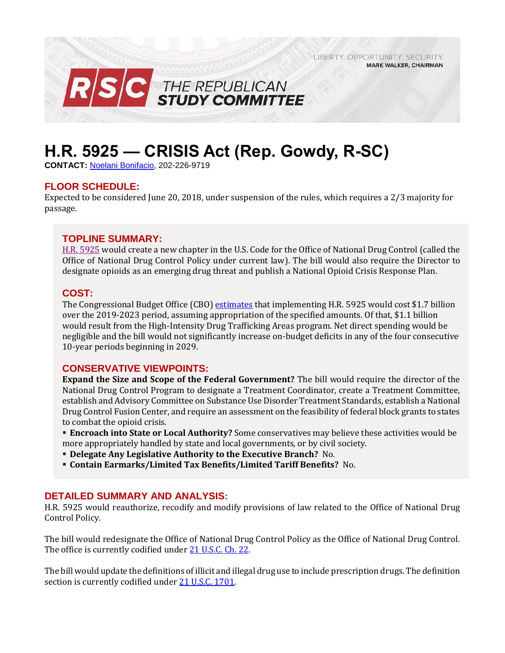LIBERTY. OPPORTUNITY. SECURITY. **MARK WALKER, CHAIRMAN** 



# **H.R. 5925 — CRISIS Act (Rep. Gowdy, R-SC)**

**CONTACT:** [Noelani Bonifacio,](mailto:Noelani.Bonifacio@mail.house.gov) 202-226-9719

# **FLOOR SCHEDULE:**

Expected to be considered June 20, 2018, under suspension of the rules, which requires a 2/3 majority for passage.

# **TOPLINE SUMMARY:**

[H.R. 5925](https://docs.house.gov/billsthisweek/20180618/HR5925.pdf) would create a new chapter in the U.S. Code for the Office of National Drug Control (called the Office of National Drug Control Policy under current law). The bill would also require the Director to designate opioids as an emerging drug threat and publish a National Opioid Crisis Response Plan.

# **COST:**

The Congressional Budget Office (CBO) [estimates](https://www.cbo.gov/system/files/115th-congress-2017-2018/costestimate/hr5925v2.pdf) that implementing H.R. 5925 would cost \$1.7 billion over the 2019-2023 period, assuming appropriation of the specified amounts. Of that, \$1.1 billion would result from the High-Intensity Drug Trafficking Areas program. Net direct spending would be negligible and the bill would not significantly increase on-budget deficits in any of the four consecutive 10-year periods beginning in 2029.

# **CONSERVATIVE VIEWPOINTS:**

**Expand the Size and Scope of the Federal Government?** The bill would require the director of the National Drug Control Program to designate a Treatment Coordinator, create a Treatment Committee, establish and Advisory Committee on Substance Use Disorder Treatment Standards, establish a National Drug Control Fusion Center, and require an assessment on the feasibility of federal block grants to states to combat the opioid crisis.

- **Encroach into State or Local Authority?** Some conservatives may believe these activities would be more appropriately handled by state and local governments, or by civil society.
- **Delegate Any Legislative Authority to the Executive Branch?** No.
- **Contain Earmarks/Limited Tax Benefits/Limited Tariff Benefits?** No.

# **DETAILED SUMMARY AND ANALYSIS:**

H.R. 5925 would reauthorize, recodify and modify provisions of law related to the Office of National Drug Control Policy.

The bill would redesignate the Office of National Drug Control Policy as the Office of National Drug Control. The office is currently codified under [21 U.S.C. Ch. 22.](http://uscode.house.gov/view.xhtml?req=granuleid%3AUSC-prelim-title21-chapter22&saved=%7CKHRpdGxlOjIxIHNlY3Rpb246MTcwMiBlZGl0aW9uOnByZWxpbSkgT1IgKGdyYW51bGVpZDpVU0MtcHJlbGltLXRpdGxlMjEtc2VjdGlvbjE3MDIp%7CdHJlZXNvcnQ%3D%7C%7C0%7Cfalse%7Cprelim&edition=prelim) 

The bill would update the definitions of illicit and illegal drug use to include prescription drugs. The definition section is currently codified unde[r 21 U.S.C. 1701.](http://uscode.house.gov/view.xhtml?req=(title:21%20section:1701%20edition:prelim)%20OR%20(granuleid:USC-prelim-title21-section1701)&f=treesort&edition=prelim&num=0&jumpTo=true)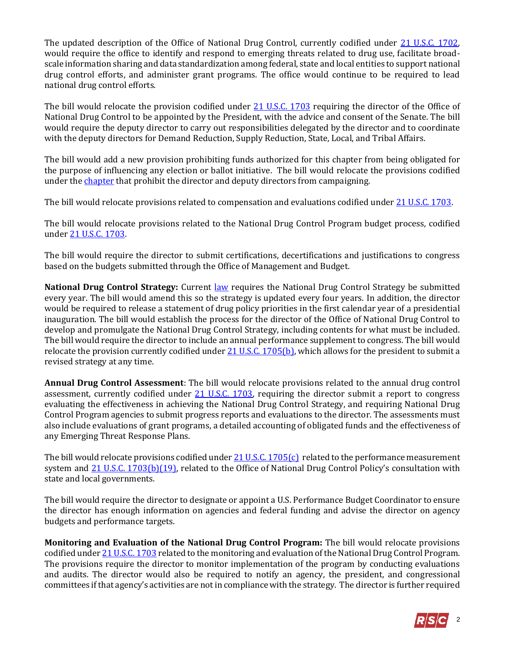The updated description of the Office of National Drug Control, currently codified under [21 U.S.C. 1702,](http://uscode.house.gov/view.xhtml?req=(title:21%20section:1702%20edition:prelim)%20OR%20(granuleid:USC-prelim-title21-section1702)&f=treesort&edition=prelim&num=0&jumpTo=true) would require the office to identify and respond to emerging threats related to drug use, facilitate broadscale information sharing and data standardization among federal, state and local entities to support national drug control efforts, and administer grant programs. The office would continue to be required to lead national drug control efforts.

The bill would relocate the provision codified under [21 U.S.C. 1703](http://uscode.house.gov/view.xhtml?hl=false&edition=prelim&req=granuleid%3AUSC-prelim-title21-section1703&f=treesort&num=0&saved=%7CKHRpdGxlOjIxIHNlY3Rpb246MTcwMSBlZGl0aW9uOnByZWxpbSkgT1IgKGdyYW51bGVpZDpVU0MtcHJlbGltLXRpdGxlMjEtc2VjdGlvbjE3MDEp%7CdHJlZXNvcnQ%3D%7C%7C0%7Cfalse%7Cprelim) requiring the director of the Office of National Drug Control to be appointed by the President, with the advice and consent of the Senate. The bill would require the deputy director to carry out responsibilities delegated by the director and to coordinate with the deputy directors for Demand Reduction, Supply Reduction, State, Local, and Tribal Affairs.

The bill would add a new provision prohibiting funds authorized for this chapter from being obligated for the purpose of influencing any election or ballot initiative. The bill would relocate the provisions codified under the [chapter](http://uscode.house.gov/view.xhtml?req=granuleid%3AUSC-prelim-title21-chapter22&saved=%7CKHRpdGxlOjIxIHNlY3Rpb246MTcwMiBlZGl0aW9uOnByZWxpbSkgT1IgKGdyYW51bGVpZDpVU0MtcHJlbGltLXRpdGxlMjEtc2VjdGlvbjE3MDIp%7CdHJlZXNvcnQ%3D%7C%7C0%7Cfalse%7Cprelim&edition=prelim) that prohibit the director and deputy directors from campaigning.

The bill would relocate provisions related to compensation and evaluations codified unde[r 21 U.S.C. 1703.](http://uscode.house.gov/view.xhtml?hl=false&edition=prelim&req=granuleid%3AUSC-prelim-title21-section1703&f=treesort&num=0&saved=%7CKHRpdGxlOjIxIHNlY3Rpb246MTcwMSBlZGl0aW9uOnByZWxpbSkgT1IgKGdyYW51bGVpZDpVU0MtcHJlbGltLXRpdGxlMjEtc2VjdGlvbjE3MDEp%7CdHJlZXNvcnQ%3D%7C%7C0%7Cfalse%7Cprelim)

The bill would relocate provisions related to the National Drug Control Program budget process, codified unde[r 21 U.S.C. 1703.](http://uscode.house.gov/view.xhtml?hl=false&edition=prelim&req=granuleid%3AUSC-prelim-title21-section1703&f=treesort&num=0&saved=%7CKHRpdGxlOjIxIHNlY3Rpb246MTcwMSBlZGl0aW9uOnByZWxpbSkgT1IgKGdyYW51bGVpZDpVU0MtcHJlbGltLXRpdGxlMjEtc2VjdGlvbjE3MDEp%7CdHJlZXNvcnQ%3D%7C%7C0%7Cfalse%7Cprelim)

The bill would require the director to submit certifications, decertifications and justifications to congress based on the budgets submitted through the Office of Management and Budget.

**National Drug Control Strategy:** Current [law](http://uscode.house.gov/view.xhtml?req=(title:21%20section:1705%20edition:prelim)%20OR%20(granuleid:USC-prelim-title21-section1705)&f=treesort&edition=prelim&num=0&jumpTo=true) requires the National Drug Control Strategy be submitted every year. The bill would amend this so the strategy is updated every four years. In addition, the director would be required to release a statement of drug policy priorities in the first calendar year of a presidential inauguration. The bill would establish the process for the director of the Office of National Drug Control to develop and promulgate the National Drug Control Strategy, including contents for what must be included. The bill would require the director to include an annual performance supplement to congress. The bill would relocate the provision currently codified unde[r 21 U.S.C. 1705\(b\),](http://uscode.house.gov/view.xhtml?req=(title:21%20section:1705%20edition:prelim)%20OR%20(granuleid:USC-prelim-title21-section1705)&f=treesort&edition=prelim&num=0&jumpTo=true) which allows for the president to submit a revised strategy at any time.

**Annual Drug Control Assessment**: The bill would relocate provisions related to the annual drug control assessment, currently codified under [21 U.S.C. 1703,](http://uscode.house.gov/view.xhtml?hl=false&edition=prelim&req=granuleid%3AUSC-prelim-title21-section1703&f=treesort&num=0&saved=%7CKHRpdGxlOjIxIHNlY3Rpb246MTcwNSBlZGl0aW9uOnByZWxpbSkgT1IgKGdyYW51bGVpZDpVU0MtcHJlbGltLXRpdGxlMjEtc2VjdGlvbjE3MDUp%7CdHJlZXNvcnQ%3D%7C%7C0%7Cfalse%7Cprelim) requiring the director submit a report to congress evaluating the effectiveness in achieving the National Drug Control Strategy, and requiring National Drug Control Program agencies to submit progress reports and evaluations to the director. The assessments must also include evaluations of grant programs, a detailed accounting of obligated funds and the effectiveness of any Emerging Threat Response Plans.

The bill would relocate provisions codified under  $21$  U.S.C. 1705(c) related to the performance measurement system and [21 U.S.C. 1703\(b\)\(19\),](http://uscode.house.gov/view.xhtml?hl=false&edition=prelim&req=granuleid%3AUSC-prelim-title21-section1703&f=treesort&num=0&saved=%7CKHRpdGxlOjIxIHNlY3Rpb246MTcwNSBlZGl0aW9uOnByZWxpbSkgT1IgKGdyYW51bGVpZDpVU0MtcHJlbGltLXRpdGxlMjEtc2VjdGlvbjE3MDUp%7CdHJlZXNvcnQ%3D%7C%7C0%7Cfalse%7Cprelim) related to the Office of National Drug Control Policy's consultation with state and local governments.

The bill would require the director to designate or appoint a U.S. Performance Budget Coordinator to ensure the director has enough information on agencies and federal funding and advise the director on agency budgets and performance targets.

**Monitoring and Evaluation of the National Drug Control Program:** The bill would relocate provisions codified unde[r 21 U.S.C. 1703](http://uscode.house.gov/view.xhtml?hl=false&edition=prelim&req=granuleid%3AUSC-prelim-title21-section1703&f=treesort&num=0&saved=%7CKHRpdGxlOjIxIHNlY3Rpb246MTcwNSBlZGl0aW9uOnByZWxpbSkgT1IgKGdyYW51bGVpZDpVU0MtcHJlbGltLXRpdGxlMjEtc2VjdGlvbjE3MDUp%7CdHJlZXNvcnQ%3D%7C%7C0%7Cfalse%7Cprelim) related to the monitoring and evaluation of the National Drug Control Program. The provisions require the director to monitor implementation of the program by conducting evaluations and audits. The director would also be required to notify an agency, the president, and congressional committees if that agency's activities are not in compliance with the strategy. The director is further required

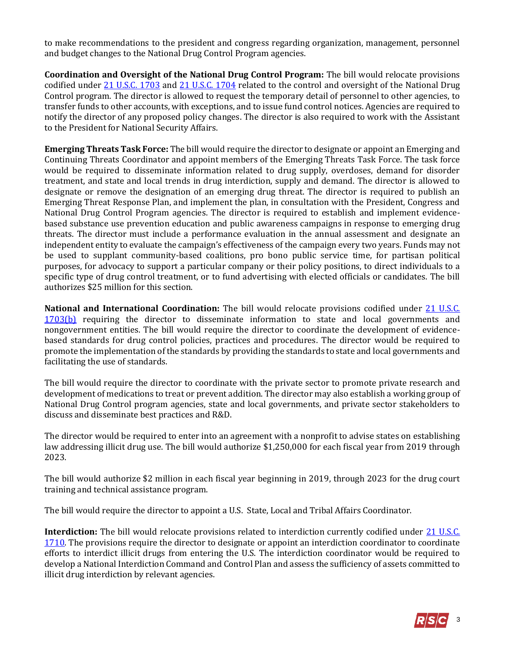to make recommendations to the president and congress regarding organization, management, personnel and budget changes to the National Drug Control Program agencies.

**Coordination and Oversight of the National Drug Control Program:** The bill would relocate provisions codified under [21 U.S.C. 1703](http://uscode.house.gov/view.xhtml?hl=false&edition=prelim&req=granuleid%3AUSC-prelim-title21-section1703&f=treesort&num=0&saved=%7CKHRpdGxlOjIxIHNlY3Rpb246MTcwNSBlZGl0aW9uOnByZWxpbSkgT1IgKGdyYW51bGVpZDpVU0MtcHJlbGltLXRpdGxlMjEtc2VjdGlvbjE3MDUp%7CdHJlZXNvcnQ%3D%7C%7C0%7Cfalse%7Cprelim) and [21 U.S.C. 1704](http://uscode.house.gov/view.xhtml?hl=false&edition=prelim&req=granuleid%3AUSC-prelim-title21-section1704&f=treesort&num=0&saved=%7CKHRpdGxlOjIxIHNlY3Rpb246MTcwNSBlZGl0aW9uOnByZWxpbSkgT1IgKGdyYW51bGVpZDpVU0MtcHJlbGltLXRpdGxlMjEtc2VjdGlvbjE3MDUp%7CdHJlZXNvcnQ%3D%7C%7C0%7Cfalse%7Cprelim) related to the control and oversight of the National Drug Control program. The director is allowed to request the temporary detail of personnel to other agencies, to transfer funds to other accounts, with exceptions, and to issue fund control notices. Agencies are required to notify the director of any proposed policy changes. The director is also required to work with the Assistant to the President for National Security Affairs.

**Emerging Threats Task Force:** The bill would require the director to designate or appoint an Emerging and Continuing Threats Coordinator and appoint members of the Emerging Threats Task Force. The task force would be required to disseminate information related to drug supply, overdoses, demand for disorder treatment, and state and local trends in drug interdiction, supply and demand. The director is allowed to designate or remove the designation of an emerging drug threat. The director is required to publish an Emerging Threat Response Plan, and implement the plan, in consultation with the President, Congress and National Drug Control Program agencies. The director is required to establish and implement evidencebased substance use prevention education and public awareness campaigns in response to emerging drug threats. The director must include a performance evaluation in the annual assessment and designate an independent entity to evaluate the campaign's effectiveness of the campaign every two years. Funds may not be used to supplant community-based coalitions, pro bono public service time, for partisan political purposes, for advocacy to support a particular company or their policy positions, to direct individuals to a specific type of drug control treatment, or to fund advertising with elected officials or candidates. The bill authorizes \$25 million for this section.

**National and International Coordination:** The bill would relocate provisions codified under [21 U.S.C.](http://uscode.house.gov/view.xhtml?hl=false&edition=prelim&req=granuleid%3AUSC-prelim-title21-section1703&f=treesort&num=0&saved=%7CKHRpdGxlOjIxIHNlY3Rpb246MTcwNSBlZGl0aW9uOnByZWxpbSkgT1IgKGdyYW51bGVpZDpVU0MtcHJlbGltLXRpdGxlMjEtc2VjdGlvbjE3MDUp%7CdHJlZXNvcnQ%3D%7C%7C0%7Cfalse%7Cprelim)  [1703\(b\)](http://uscode.house.gov/view.xhtml?hl=false&edition=prelim&req=granuleid%3AUSC-prelim-title21-section1703&f=treesort&num=0&saved=%7CKHRpdGxlOjIxIHNlY3Rpb246MTcwNSBlZGl0aW9uOnByZWxpbSkgT1IgKGdyYW51bGVpZDpVU0MtcHJlbGltLXRpdGxlMjEtc2VjdGlvbjE3MDUp%7CdHJlZXNvcnQ%3D%7C%7C0%7Cfalse%7Cprelim) requiring the director to disseminate information to state and local governments and nongovernment entities. The bill would require the director to coordinate the development of evidencebased standards for drug control policies, practices and procedures. The director would be required to promote the implementation of the standards by providing the standards to state and local governments and facilitating the use of standards.

The bill would require the director to coordinate with the private sector to promote private research and development of medications to treat or prevent addition. The director may also establish a working group of National Drug Control program agencies, state and local governments, and private sector stakeholders to discuss and disseminate best practices and R&D.

The director would be required to enter into an agreement with a nonprofit to advise states on establishing law addressing illicit drug use. The bill would authorize \$1,250,000 for each fiscal year from 2019 through 2023.

The bill would authorize \$2 million in each fiscal year beginning in 2019, through 2023 for the drug court training and technical assistance program.

The bill would require the director to appoint a U.S. State, Local and Tribal Affairs Coordinator.

**Interdiction:** The bill would relocate provisions related to interdiction currently codified under [21 U.S.C.](http://uscode.house.gov/view.xhtml?req=(title:21%20section:1710%20edition:prelim)%20OR%20(granuleid:USC-prelim-title21-section1710)&f=treesort&edition=prelim&num=0&jumpTo=true)  [1710.](http://uscode.house.gov/view.xhtml?req=(title:21%20section:1710%20edition:prelim)%20OR%20(granuleid:USC-prelim-title21-section1710)&f=treesort&edition=prelim&num=0&jumpTo=true) The provisions require the director to designate or appoint an interdiction coordinator to coordinate efforts to interdict illicit drugs from entering the U.S. The interdiction coordinator would be required to develop a National Interdiction Command and Control Plan and assess the sufficiency of assets committed to illicit drug interdiction by relevant agencies.

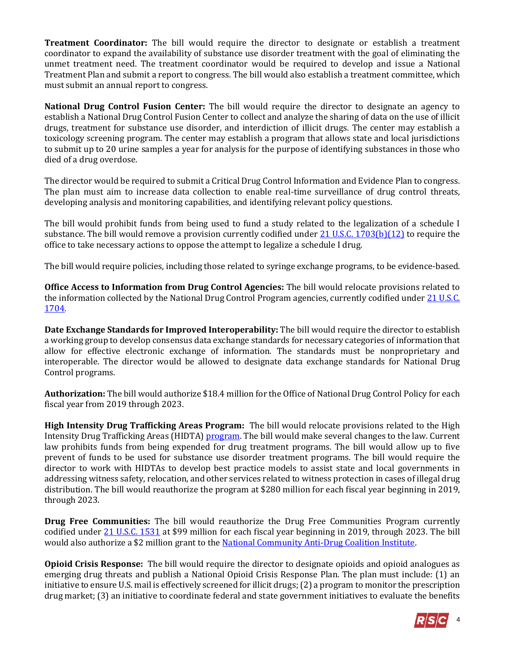**Treatment Coordinator:** The bill would require the director to designate or establish a treatment coordinator to expand the availability of substance use disorder treatment with the goal of eliminating the unmet treatment need. The treatment coordinator would be required to develop and issue a National Treatment Plan and submit a report to congress. The bill would also establish a treatment committee, which must submit an annual report to congress.

**National Drug Control Fusion Center:** The bill would require the director to designate an agency to establish a National Drug Control Fusion Center to collect and analyze the sharing of data on the use of illicit drugs, treatment for substance use disorder, and interdiction of illicit drugs. The center may establish a toxicology screening program. The center may establish a program that allows state and local jurisdictions to submit up to 20 urine samples a year for analysis for the purpose of identifying substances in those who died of a drug overdose.

The director would be required to submit a Critical Drug Control Information and Evidence Plan to congress. The plan must aim to increase data collection to enable real-time surveillance of drug control threats, developing analysis and monitoring capabilities, and identifying relevant policy questions.

The bill would prohibit funds from being used to fund a study related to the legalization of a schedule I substance. The bill would remove a provision currently codified under [21 U.S.C. 1703\(b\)\(12\)](http://uscode.house.gov/view.xhtml?hl=false&edition=prelim&req=granuleid%3AUSC-prelim-title21-section1703&f=treesort&num=0&saved=%7CKHRpdGxlOjIxIHNlY3Rpb246MTcxMCBlZGl0aW9uOnByZWxpbSkgT1IgKGdyYW51bGVpZDpVU0MtcHJlbGltLXRpdGxlMjEtc2VjdGlvbjE3MTAp%7CdHJlZXNvcnQ%3D%7C%7C0%7Cfalse%7Cprelim) to require the office to take necessary actions to oppose the attempt to legalize a schedule I drug.

The bill would require policies, including those related to syringe exchange programs, to be evidence-based.

**Office Access to Information from Drug Control Agencies:** The bill would relocate provisions related to the information collected by the National Drug Control Program agencies, currently codified under 21 U.S.C. [1704.](http://uscode.house.gov/view.xhtml?req=(title:21%20section:1704%20edition:prelim)%20OR%20(granuleid:USC-prelim-title21-section1704)&f=treesort&edition=prelim&num=0&jumpTo=true.)

**Date Exchange Standards for Improved Interoperability:** The bill would require the director to establish a working group to develop consensus data exchange standards for necessary categories of information that allow for effective electronic exchange of information. The standards must be nonproprietary and interoperable. The director would be allowed to designate data exchange standards for National Drug Control programs.

**Authorization:** The bill would authorize \$18.4 million for the Office of National Drug Control Policy for each fiscal year from 2019 through 2023.

**High Intensity Drug Trafficking Areas Program:** The bill would relocate provisions related to the High Intensity Drug Trafficking Areas (HIDTA) [program.](https://www.dea.gov/ops/hidta.shtml.) The bill would make several changes to the law. Current law prohibits funds from being expended for drug treatment programs. The bill would allow up to five prevent of funds to be used for substance use disorder treatment programs. The bill would require the director to work with HIDTAs to develop best practice models to assist state and local governments in addressing witness safety, relocation, and other services related to witness protection in cases of illegal drug distribution. The bill would reauthorize the program at \$280 million for each fiscal year beginning in 2019, through 2023.

**Drug Free Communities:** The bill would reauthorize the Drug Free Communities Program currently codified under [21 U.S.C. 1531](http://uscode.house.gov/view.xhtml?req=(title:21%20section:1531%20edition:prelim)%20OR%20(granuleid:USC-prelim-title21-section1531)&f=treesort&edition=prelim&num=0&jumpTo=true) at \$99 million for each fiscal year beginning in 2019, through 2023. The bill would also authorize a \$2 million grant to th[e National Community Anti-Drug Coalition Institute.](https://www.cadca.org/)

**Opioid Crisis Response:** The bill would require the director to designate opioids and opioid analogues as emerging drug threats and publish a National Opioid Crisis Response Plan. The plan must include: (1) an initiative to ensure U.S. mail is effectively screened for illicit drugs; (2) a program to monitor the prescription drug market; (3) an initiative to coordinate federal and state government initiatives to evaluate the benefits